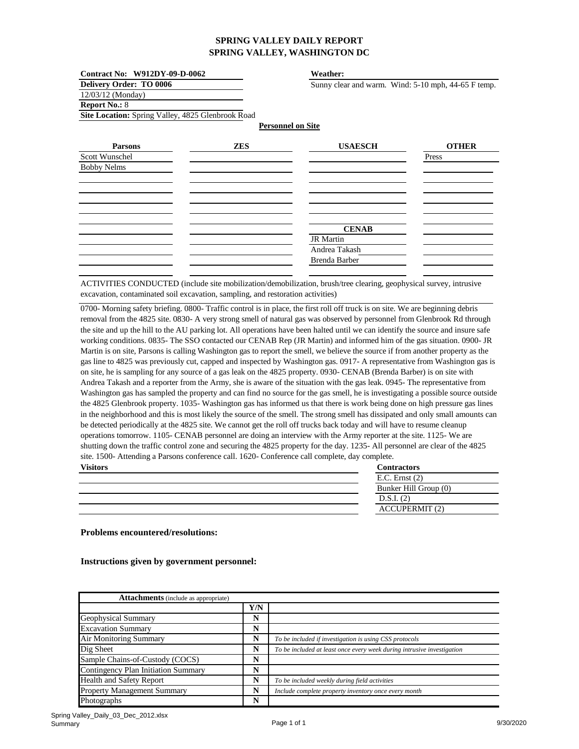| Contract No: W912DY-09-D-0062                     |                          | Weather:                                            |              |
|---------------------------------------------------|--------------------------|-----------------------------------------------------|--------------|
| <b>Delivery Order: TO 0006</b>                    |                          | Sunny clear and warm. Wind: 5-10 mph, 44-65 F temp. |              |
| $12/03/12$ (Monday)                               |                          |                                                     |              |
| <b>Report No.: 8</b>                              |                          |                                                     |              |
| Site Location: Spring Valley, 4825 Glenbrook Road |                          |                                                     |              |
|                                                   | <b>Personnel on Site</b> |                                                     |              |
| <b>Parsons</b>                                    | ZES                      | <b>USAESCH</b>                                      | <b>OTHER</b> |
| Scott Wunschel                                    |                          |                                                     | Press        |

| DUUL <i>II</i> UHSCHUI |               | 11000 |
|------------------------|---------------|-------|
| <b>Bobby Nelms</b>     |               |       |
|                        |               |       |
|                        |               |       |
|                        |               |       |
|                        |               |       |
|                        | <b>CENAB</b>  |       |
|                        | JR Martin     |       |
|                        | Andrea Takash |       |
|                        | Brenda Barber |       |
|                        |               |       |

ACTIVITIES CONDUCTED (include site mobilization/demobilization, brush/tree clearing, geophysical survey, intrusive excavation, contaminated soil excavation, sampling, and restoration activities)

**Contractors** 0700- Morning safety briefing. 0800- Traffic control is in place, the first roll off truck is on site. We are beginning debris removal from the 4825 site. 0830- A very strong smell of natural gas was observed by personnel from Glenbrook Rd through the site and up the hill to the AU parking lot. All operations have been halted until we can identify the source and insure safe working conditions. 0835- The SSO contacted our CENAB Rep (JR Martin) and informed him of the gas situation. 0900- JR Martin is on site, Parsons is calling Washington gas to report the smell, we believe the source if from another property as the gas line to 4825 was previously cut, capped and inspected by Washington gas. 0917- A representative from Washington gas is on site, he is sampling for any source of a gas leak on the 4825 property. 0930- CENAB (Brenda Barber) is on site with Andrea Takash and a reporter from the Army, she is aware of the situation with the gas leak. 0945- The representative from Washington gas has sampled the property and can find no source for the gas smell, he is investigating a possible source outside the 4825 Glenbrook property. 1035- Washington gas has informed us that there is work being done on high pressure gas lines in the neighborhood and this is most likely the source of the smell. The strong smell has dissipated and only small amounts can be detected periodically at the 4825 site. We cannot get the roll off trucks back today and will have to resume cleanup operations tomorrow. 1105- CENAB personnel are doing an interview with the Army reporter at the site. 1125- We are shutting down the traffic control zone and securing the 4825 property for the day. 1235- All personnel are clear of the 4825 site. 1500- Attending a Parsons conference call. 1620- Conference call complete, day complete. **Visitors**

| V ISILOTS | <b>CONTRACTORS</b>    |
|-----------|-----------------------|
|           | $E.C.$ Ernst $(2)$    |
|           | Bunker Hill Group (0) |
|           | D.S.I. (2)            |
|           | <b>ACCUPERMIT (2)</b> |

**Problems encountered/resolutions:**

| <b>Attachments</b> (include as appropriate) |     |                                                                        |
|---------------------------------------------|-----|------------------------------------------------------------------------|
|                                             | Y/N |                                                                        |
| <b>Geophysical Summary</b>                  | N   |                                                                        |
| <b>Excavation Summary</b>                   | N   |                                                                        |
| Air Monitoring Summary                      | N   | To be included if investigation is using CSS protocols                 |
| Dig Sheet                                   | N   | To be included at least once every week during intrusive investigation |
| Sample Chains-of-Custody (COCS)             | N   |                                                                        |
| <b>Contingency Plan Initiation Summary</b>  | N   |                                                                        |
| <b>Health and Safety Report</b>             | N   | To be included weekly during field activities                          |
| <b>Property Management Summary</b>          | N   | Include complete property inventory once every month                   |
| Photographs                                 | N   |                                                                        |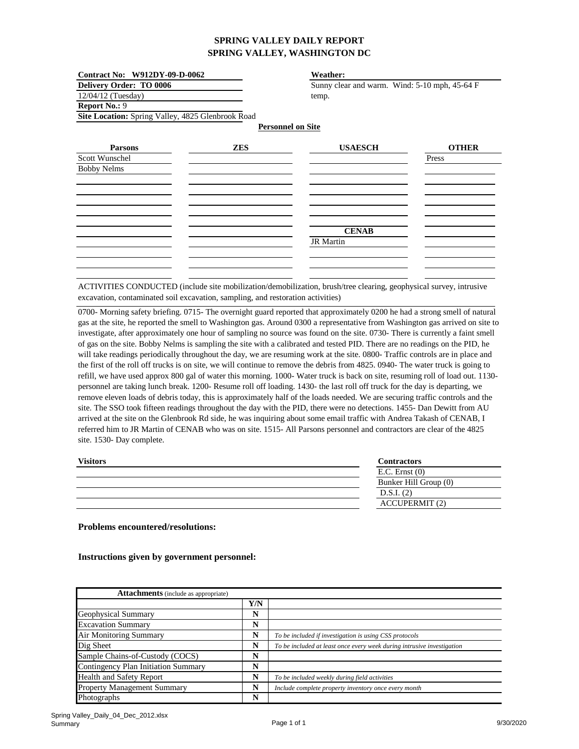| Contract No: W912DY-09-D-0062<br><b>Delivery Order: TO 0006</b> |            | Weather:<br>Sunny clear and warm. Wind: 5-10 mph, 45-64 F |              |  |
|-----------------------------------------------------------------|------------|-----------------------------------------------------------|--------------|--|
|                                                                 |            |                                                           |              |  |
| <b>Report No.: 9</b>                                            |            |                                                           |              |  |
| Site Location: Spring Valley, 4825 Glenbrook Road               |            |                                                           |              |  |
|                                                                 |            | <b>Personnel on Site</b>                                  |              |  |
| <b>Parsons</b>                                                  | <b>ZES</b> | <b>USAESCH</b>                                            | <b>OTHER</b> |  |
| Scott Wunschel                                                  |            |                                                           | Press        |  |
| <b>Bobby Nelms</b>                                              |            |                                                           |              |  |
|                                                                 |            |                                                           |              |  |
|                                                                 |            |                                                           |              |  |
|                                                                 |            |                                                           |              |  |
|                                                                 |            |                                                           |              |  |
|                                                                 |            |                                                           |              |  |
|                                                                 |            | <b>CENAB</b>                                              |              |  |
|                                                                 |            | <b>JR</b> Martin                                          |              |  |
|                                                                 |            |                                                           |              |  |
|                                                                 |            |                                                           |              |  |
|                                                                 |            |                                                           |              |  |

ACTIVITIES CONDUCTED (include site mobilization/demobilization, brush/tree clearing, geophysical survey, intrusive excavation, contaminated soil excavation, sampling, and restoration activities)

0700- Morning safety briefing. 0715- The overnight guard reported that approximately 0200 he had a strong smell of natural gas at the site, he reported the smell to Washington gas. Around 0300 a representative from Washington gas arrived on site to investigate, after approximately one hour of sampling no source was found on the site. 0730- There is currently a faint smell of gas on the site. Bobby Nelms is sampling the site with a calibrated and tested PID. There are no readings on the PID, he will take readings periodically throughout the day, we are resuming work at the site. 0800- Traffic controls are in place and the first of the roll off trucks is on site, we will continue to remove the debris from 4825. 0940- The water truck is going to refill, we have used approx 800 gal of water this morning. 1000- Water truck is back on site, resuming roll of load out. 1130 personnel are taking lunch break. 1200- Resume roll off loading. 1430- the last roll off truck for the day is departing, we remove eleven loads of debris today, this is approximately half of the loads needed. We are securing traffic controls and the site. The SSO took fifteen readings throughout the day with the PID, there were no detections. 1455- Dan Dewitt from AU arrived at the site on the Glenbrook Rd side, he was inquiring about some email traffic with Andrea Takash of CENAB, I referred him to JR Martin of CENAB who was on site. 1515- All Parsons personnel and contractors are clear of the 4825 site. 1530- Day complete.

| <b>Visitors</b> | <b>Contractors</b>    |
|-----------------|-----------------------|
|                 | $E.C.$ Ernst $(0)$    |
|                 | Bunker Hill Group (0) |
|                 | D.S.I. (2)            |
|                 | <b>ACCUPERMIT (2)</b> |

**Problems encountered/resolutions:**

| <b>Attachments</b> (include as appropriate) |     |                                                                        |
|---------------------------------------------|-----|------------------------------------------------------------------------|
|                                             | Y/N |                                                                        |
| Geophysical Summary                         | N   |                                                                        |
| <b>Excavation Summary</b>                   | N   |                                                                        |
| <b>Air Monitoring Summary</b>               | N   | To be included if investigation is using CSS protocols                 |
| Dig Sheet                                   | N   | To be included at least once every week during intrusive investigation |
| Sample Chains-of-Custody (COCS)             | N   |                                                                        |
| <b>Contingency Plan Initiation Summary</b>  | N   |                                                                        |
| Health and Safety Report                    | N   | To be included weekly during field activities                          |
| Property Management Summary                 | N   | Include complete property inventory once every month                   |
| Photographs                                 | N   |                                                                        |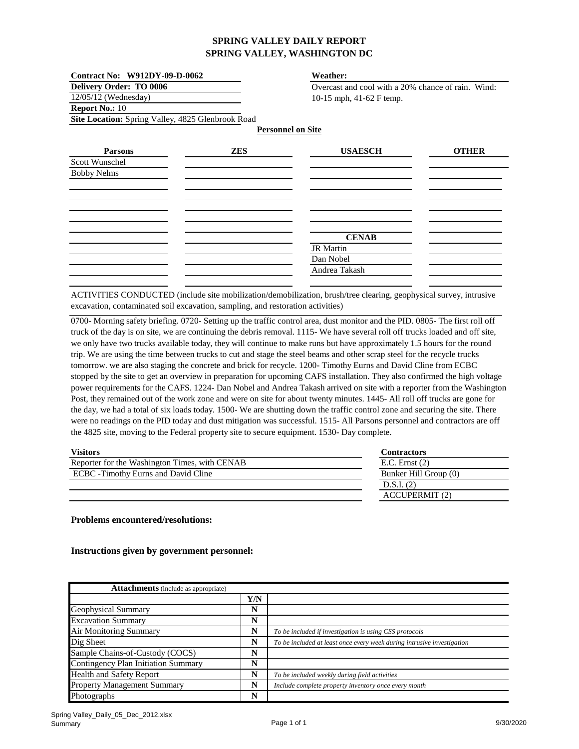| Contract No: W912DY-09-D-0062<br><b>Delivery Order: TO 0006</b> |            | Weather:<br>Overcast and cool with a 20% chance of rain. Wind: |              |  |
|-----------------------------------------------------------------|------------|----------------------------------------------------------------|--------------|--|
|                                                                 |            |                                                                |              |  |
| <b>Report No.: 10</b>                                           |            |                                                                |              |  |
| Site Location: Spring Valley, 4825 Glenbrook Road               |            |                                                                |              |  |
|                                                                 |            | <b>Personnel on Site</b>                                       |              |  |
| <b>Parsons</b>                                                  | <b>ZES</b> | <b>USAESCH</b>                                                 | <b>OTHER</b> |  |
| Scott Wunschel                                                  |            |                                                                |              |  |
| <b>Bobby Nelms</b>                                              |            |                                                                |              |  |
|                                                                 |            |                                                                |              |  |
|                                                                 |            |                                                                |              |  |
|                                                                 |            |                                                                |              |  |
|                                                                 |            |                                                                |              |  |
|                                                                 |            | <b>CENAB</b>                                                   |              |  |
|                                                                 |            | <b>JR</b> Martin                                               |              |  |
|                                                                 |            | Dan Nobel                                                      |              |  |
|                                                                 |            | Andrea Takash                                                  |              |  |

ACTIVITIES CONDUCTED (include site mobilization/demobilization, brush/tree clearing, geophysical survey, intrusive excavation, contaminated soil excavation, sampling, and restoration activities)

0700- Morning safety briefing. 0720- Setting up the traffic control area, dust monitor and the PID. 0805- The first roll off truck of the day is on site, we are continuing the debris removal. 1115- We have several roll off trucks loaded and off site, we only have two trucks available today, they will continue to make runs but have approximately 1.5 hours for the round trip. We are using the time between trucks to cut and stage the steel beams and other scrap steel for the recycle trucks tomorrow. we are also staging the concrete and brick for recycle. 1200- Timothy Eurns and David Cline from ECBC stopped by the site to get an overview in preparation for upcoming CAFS installation. They also confirmed the high voltage power requirements for the CAFS. 1224- Dan Nobel and Andrea Takash arrived on site with a reporter from the Washington Post, they remained out of the work zone and were on site for about twenty minutes. 1445- All roll off trucks are gone for the day, we had a total of six loads today. 1500- We are shutting down the traffic control zone and securing the site. There were no readings on the PID today and dust mitigation was successful. 1515- All Parsons personnel and contractors are off the 4825 site, moving to the Federal property site to secure equipment. 1530- Day complete.

#### **Visitors**

| $E.C.$ Ernst $(2)$    |  |
|-----------------------|--|
| Bunker Hill Group (0) |  |
| D.S.I. (2)            |  |
| <b>ACCUPERMIT (2)</b> |  |
|                       |  |

**Contractors**

#### **Problems encountered/resolutions:**

| <b>Attachments</b> (include as appropriate) |     |                                                                        |
|---------------------------------------------|-----|------------------------------------------------------------------------|
|                                             | Y/N |                                                                        |
| Geophysical Summary                         | N   |                                                                        |
| <b>Excavation Summary</b>                   | N   |                                                                        |
| Air Monitoring Summary                      | N   | To be included if investigation is using CSS protocols                 |
| Dig Sheet                                   | N   | To be included at least once every week during intrusive investigation |
| Sample Chains-of-Custody (COCS)             | N   |                                                                        |
| <b>Contingency Plan Initiation Summary</b>  | N   |                                                                        |
| <b>Health and Safety Report</b>             | N   | To be included weekly during field activities                          |
| <b>Property Management Summary</b>          | N   | Include complete property inventory once every month                   |
| Photographs                                 | N   |                                                                        |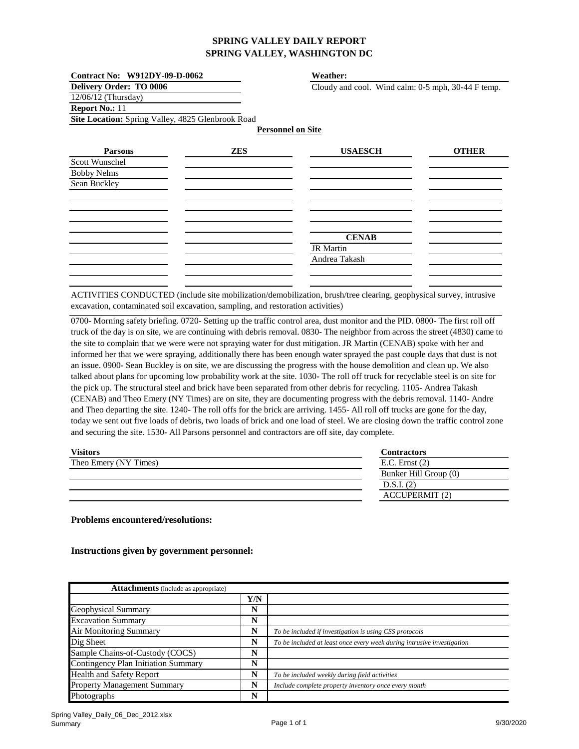| Contract No: W912DY-09-D-0062                     |            | Weather:                                           |              |  |
|---------------------------------------------------|------------|----------------------------------------------------|--------------|--|
| <b>Delivery Order: TO 0006</b>                    |            | Cloudy and cool. Wind calm: 0-5 mph, 30-44 F temp. |              |  |
| $12/06/12$ (Thursday)                             |            |                                                    |              |  |
| Report No.: 11                                    |            |                                                    |              |  |
| Site Location: Spring Valley, 4825 Glenbrook Road |            |                                                    |              |  |
|                                                   |            | <b>Personnel on Site</b>                           |              |  |
| <b>Parsons</b>                                    | <b>ZES</b> | <b>USAESCH</b>                                     | <b>OTHER</b> |  |
| Scott Wunschel                                    |            |                                                    |              |  |
| <b>Bobby Nelms</b>                                |            |                                                    |              |  |
| Sean Buckley                                      |            |                                                    |              |  |
|                                                   |            |                                                    |              |  |
|                                                   |            |                                                    |              |  |
|                                                   |            |                                                    |              |  |
|                                                   |            |                                                    |              |  |
|                                                   |            | <b>CENAB</b>                                       |              |  |
|                                                   |            | <b>JR</b> Martin                                   |              |  |
|                                                   |            | Andrea Takash                                      |              |  |
|                                                   |            |                                                    |              |  |
|                                                   |            |                                                    |              |  |

ACTIVITIES CONDUCTED (include site mobilization/demobilization, brush/tree clearing, geophysical survey, intrusive excavation, contaminated soil excavation, sampling, and restoration activities)

0700- Morning safety briefing. 0720- Setting up the traffic control area, dust monitor and the PID. 0800- The first roll off truck of the day is on site, we are continuing with debris removal. 0830- The neighbor from across the street (4830) came to the site to complain that we were were not spraying water for dust mitigation. JR Martin (CENAB) spoke with her and informed her that we were spraying, additionally there has been enough water sprayed the past couple days that dust is not an issue. 0900- Sean Buckley is on site, we are discussing the progress with the house demolition and clean up. We also talked about plans for upcoming low probability work at the site. 1030- The roll off truck for recyclable steel is on site for the pick up. The structural steel and brick have been separated from other debris for recycling. 1105- Andrea Takash (CENAB) and Theo Emery (NY Times) are on site, they are documenting progress with the debris removal. 1140- Andre and Theo departing the site. 1240- The roll offs for the brick are arriving. 1455- All roll off trucks are gone for the day, today we sent out five loads of debris, two loads of brick and one load of steel. We are closing down the traffic control zone and securing the site. 1530- All Parsons personnel and contractors are off site, day complete.

| <b>Visitors</b>       | <b>Contractors</b>    |
|-----------------------|-----------------------|
| Theo Emery (NY Times) | E.C. Ernst $(2)$      |
|                       | Bunker Hill Group (0) |
|                       | D.S.I. (2)            |
|                       | <b>ACCUPERMIT (2)</b> |
|                       |                       |

#### **Problems encountered/resolutions:**

| <b>Attachments</b> (include as appropriate) |     |                                                                        |
|---------------------------------------------|-----|------------------------------------------------------------------------|
|                                             | Y/N |                                                                        |
| Geophysical Summary                         | N   |                                                                        |
| <b>Excavation Summary</b>                   | N   |                                                                        |
| Air Monitoring Summary                      | N   | To be included if investigation is using CSS protocols                 |
| Dig Sheet                                   | N   | To be included at least once every week during intrusive investigation |
| Sample Chains-of-Custody (COCS)             | N   |                                                                        |
| <b>Contingency Plan Initiation Summary</b>  | N   |                                                                        |
| <b>Health and Safety Report</b>             | N   | To be included weekly during field activities                          |
| <b>Property Management Summary</b>          | N   | Include complete property inventory once every month                   |
| Photographs                                 | N   |                                                                        |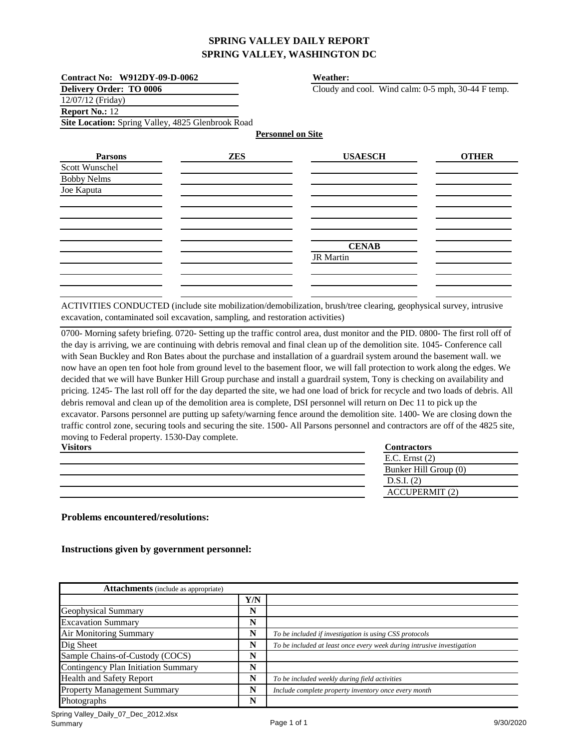| Contract No: W912DY-09-D-0062                     |                          | Weather:                                           |              |
|---------------------------------------------------|--------------------------|----------------------------------------------------|--------------|
| <b>Delivery Order: TO 0006</b>                    |                          | Cloudy and cool. Wind calm: 0-5 mph, 30-44 F temp. |              |
| 12/07/12 (Friday)                                 |                          |                                                    |              |
| <b>Report No.: 12</b>                             |                          |                                                    |              |
| Site Location: Spring Valley, 4825 Glenbrook Road |                          |                                                    |              |
|                                                   | <b>Personnel on Site</b> |                                                    |              |
| <b>Parsons</b>                                    | <b>ZES</b>               | <b>USAESCH</b>                                     | <b>OTHER</b> |
| Scott Wunschel                                    |                          |                                                    |              |
| <b>Bobby Nelms</b>                                |                          |                                                    |              |
| Joe Kaputa                                        |                          |                                                    |              |
|                                                   |                          |                                                    |              |
|                                                   |                          |                                                    |              |
|                                                   |                          |                                                    |              |
|                                                   |                          |                                                    |              |
|                                                   |                          | <b>CENAB</b>                                       |              |
|                                                   |                          | <b>JR</b> Martin                                   |              |
|                                                   |                          |                                                    |              |
|                                                   |                          |                                                    |              |
|                                                   |                          |                                                    |              |

ACTIVITIES CONDUCTED (include site mobilization/demobilization, brush/tree clearing, geophysical survey, intrusive excavation, contaminated soil excavation, sampling, and restoration activities)

**Visitors Contractors** 0700- Morning safety briefing. 0720- Setting up the traffic control area, dust monitor and the PID. 0800- The first roll off of the day is arriving, we are continuing with debris removal and final clean up of the demolition site. 1045- Conference call with Sean Buckley and Ron Bates about the purchase and installation of a guardrail system around the basement wall. we now have an open ten foot hole from ground level to the basement floor, we will fall protection to work along the edges. We decided that we will have Bunker Hill Group purchase and install a guardrail system, Tony is checking on availability and pricing. 1245- The last roll off for the day departed the site, we had one load of brick for recycle and two loads of debris. All debris removal and clean up of the demolition area is complete, DSI personnel will return on Dec 11 to pick up the excavator. Parsons personnel are putting up safety/warning fence around the demolition site. 1400- We are closing down the traffic control zone, securing tools and securing the site. 1500- All Parsons personnel and contractors are off of the 4825 site, moving to Federal property. 1530-Day complete.

| V 151 LUI 5 | Commactors            |
|-------------|-----------------------|
|             | $E.C.$ Ernst $(2)$    |
|             | Bunker Hill Group (0) |
|             | D.S.I. (2)            |
|             | <b>ACCUPERMIT (2)</b> |
|             |                       |

**Problems encountered/resolutions:**

| <b>Attachments</b> (include as appropriate) |     |                                                                        |
|---------------------------------------------|-----|------------------------------------------------------------------------|
|                                             | Y/N |                                                                        |
| Geophysical Summary                         | N   |                                                                        |
| <b>Excavation Summary</b>                   | N   |                                                                        |
| Air Monitoring Summary                      | N   | To be included if investigation is using CSS protocols                 |
| Dig Sheet                                   | N   | To be included at least once every week during intrusive investigation |
| Sample Chains-of-Custody (COCS)             | N   |                                                                        |
| <b>Contingency Plan Initiation Summary</b>  | N   |                                                                        |
| <b>Health and Safety Report</b>             | N   | To be included weekly during field activities                          |
| <b>Property Management Summary</b>          | N   | Include complete property inventory once every month                   |
| Photographs                                 | N   |                                                                        |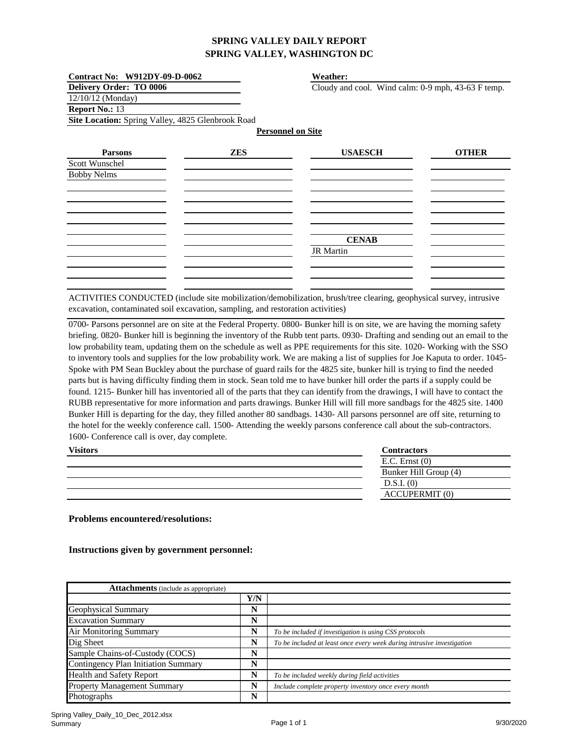| Contract No: W912DY-09-D-0062                     |                          | Weather:                                           |              |
|---------------------------------------------------|--------------------------|----------------------------------------------------|--------------|
| <b>Delivery Order: TO 0006</b>                    |                          | Cloudy and cool. Wind calm: 0-9 mph, 43-63 F temp. |              |
| 12/10/12 (Monday)                                 |                          |                                                    |              |
| Report No.: 13                                    |                          |                                                    |              |
| Site Location: Spring Valley, 4825 Glenbrook Road |                          |                                                    |              |
|                                                   | <b>Personnel on Site</b> |                                                    |              |
| <b>Parsons</b>                                    | <b>ZES</b>               | <b>USAESCH</b>                                     | <b>OTHER</b> |
| Scott Wunschel                                    |                          |                                                    |              |
| <b>Bobby Nelms</b>                                |                          |                                                    |              |
|                                                   |                          |                                                    |              |
|                                                   |                          |                                                    |              |
|                                                   |                          |                                                    |              |
|                                                   |                          |                                                    |              |
|                                                   |                          | <b>CENAB</b>                                       |              |
|                                                   |                          | <b>JR</b> Martin                                   |              |
|                                                   |                          |                                                    |              |
|                                                   |                          |                                                    |              |
|                                                   |                          |                                                    |              |

ACTIVITIES CONDUCTED (include site mobilization/demobilization, brush/tree clearing, geophysical survey, intrusive excavation, contaminated soil excavation, sampling, and restoration activities)

0700- Parsons personnel are on site at the Federal Property. 0800- Bunker hill is on site, we are having the morning safety briefing. 0820- Bunker hill is beginning the inventory of the Rubb tent parts. 0930- Drafting and sending out an email to the low probability team, updating them on the schedule as well as PPE requirements for this site. 1020- Working with the SSO to inventory tools and supplies for the low probability work. We are making a list of supplies for Joe Kaputa to order. 1045- Spoke with PM Sean Buckley about the purchase of guard rails for the 4825 site, bunker hill is trying to find the needed parts but is having difficulty finding them in stock. Sean told me to have bunker hill order the parts if a supply could be found. 1215- Bunker hill has inventoried all of the parts that they can identify from the drawings, I will have to contact the RUBB representative for more information and parts drawings. Bunker Hill will fill more sandbags for the 4825 site. 1400 Bunker Hill is departing for the day, they filled another 80 sandbags. 1430- All parsons personnel are off site, returning to the hotel for the weekly conference call. 1500- Attending the weekly parsons conference call about the sub-contractors. 1600- Conference call is over, day complete.

| <b>Visitors</b> | <b>Contractors</b>    |
|-----------------|-----------------------|
|                 | $E.C.$ Ernst $(0)$    |
|                 | Bunker Hill Group (4) |
|                 | $D.S.I.$ (0)          |
|                 | <b>ACCUPERMIT (0)</b> |

**Problems encountered/resolutions:**

| <b>Attachments</b> (include as appropriate) |     |                                                                        |
|---------------------------------------------|-----|------------------------------------------------------------------------|
|                                             | Y/N |                                                                        |
| Geophysical Summary                         | N   |                                                                        |
| <b>Excavation Summary</b>                   | N   |                                                                        |
| <b>Air Monitoring Summary</b>               | N   | To be included if investigation is using CSS protocols                 |
| Dig Sheet                                   | N   | To be included at least once every week during intrusive investigation |
| Sample Chains-of-Custody (COCS)             | N   |                                                                        |
| Contingency Plan Initiation Summary         | N   |                                                                        |
| <b>Health and Safety Report</b>             | N   | To be included weekly during field activities                          |
| <b>Property Management Summary</b>          | N   | Include complete property inventory once every month                   |
| Photographs                                 | N   |                                                                        |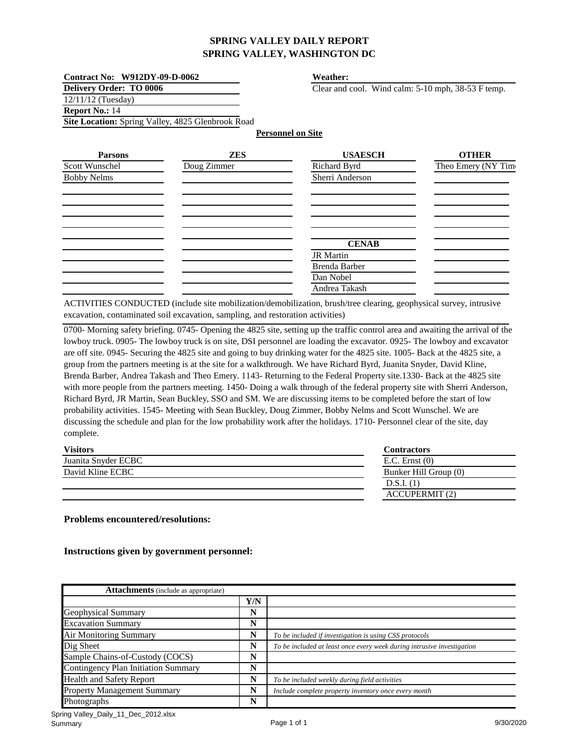| Contract No: W912DY-09-D-0062                     |             | Weather:                                           |                     |
|---------------------------------------------------|-------------|----------------------------------------------------|---------------------|
| <b>Delivery Order: TO 0006</b>                    |             | Clear and cool. Wind calm: 5-10 mph, 38-53 F temp. |                     |
| $12/11/12$ (Tuesday)                              |             |                                                    |                     |
| <b>Report No.: 14</b>                             |             |                                                    |                     |
| Site Location: Spring Valley, 4825 Glenbrook Road |             |                                                    |                     |
|                                                   |             | <b>Personnel on Site</b>                           |                     |
| <b>Parsons</b>                                    | <b>ZES</b>  | <b>USAESCH</b>                                     | <b>OTHER</b>        |
| Scott Wunschel                                    | Doug Zimmer | Richard Byrd                                       | Theo Emery (NY Time |
| <b>Bobby Nelms</b>                                |             | Sherri Anderson                                    |                     |
|                                                   |             |                                                    |                     |
|                                                   |             |                                                    |                     |
|                                                   |             |                                                    |                     |
|                                                   |             |                                                    |                     |
|                                                   |             |                                                    |                     |
|                                                   |             | <b>CENAB</b>                                       |                     |
|                                                   |             | <b>JR</b> Martin                                   |                     |
|                                                   |             | Brenda Barber                                      |                     |
|                                                   |             | Dan Nobel                                          |                     |
|                                                   |             | Andrea Takash                                      |                     |

ACTIVITIES CONDUCTED (include site mobilization/demobilization, brush/tree clearing, geophysical survey, intrusive excavation, contaminated soil excavation, sampling, and restoration activities)

0700- Morning safety briefing. 0745- Opening the 4825 site, setting up the traffic control area and awaiting the arrival of the lowboy truck. 0905- The lowboy truck is on site, DSI personnel are loading the excavator. 0925- The lowboy and excavator are off site. 0945- Securing the 4825 site and going to buy drinking water for the 4825 site. 1005- Back at the 4825 site, a group from the partners meeting is at the site for a walkthrough. We have Richard Byrd, Juanita Snyder, David Kline, Brenda Barber, Andrea Takash and Theo Emery. 1143- Returning to the Federal Property site.1330- Back at the 4825 site with more people from the partners meeting. 1450- Doing a walk through of the federal property site with Sherri Anderson, Richard Byrd, JR Martin, Sean Buckley, SSO and SM. We are discussing items to be completed before the start of low probability activities. 1545- Meeting with Sean Buckley, Doug Zimmer, Bobby Nelms and Scott Wunschel. We are discussing the schedule and plan for the low probability work after the holidays. 1710- Personnel clear of the site, day complete.

| <b>Visitors</b>     | Contractors           |
|---------------------|-----------------------|
| Juanita Snyder ECBC | $E.C.$ Ernst $(0)$    |
| David Kline ECBC    | Bunker Hill Group (0) |
|                     | D.S.I. (1)            |
|                     | <b>ACCUPERMIT</b> (2) |

#### **Problems encountered/resolutions:**

| <b>Attachments</b> (include as appropriate) |     |                                                                        |
|---------------------------------------------|-----|------------------------------------------------------------------------|
|                                             | Y/N |                                                                        |
| Geophysical Summary                         | N   |                                                                        |
| <b>Excavation Summary</b>                   | N   |                                                                        |
| <b>Air Monitoring Summary</b>               | N   | To be included if investigation is using CSS protocols                 |
| Dig Sheet                                   | N   | To be included at least once every week during intrusive investigation |
| Sample Chains-of-Custody (COCS)             | N   |                                                                        |
| <b>Contingency Plan Initiation Summary</b>  | N   |                                                                        |
| <b>Health and Safety Report</b>             | N   | To be included weekly during field activities                          |
| <b>Property Management Summary</b>          | N   | Include complete property inventory once every month                   |
| Photographs                                 | N   |                                                                        |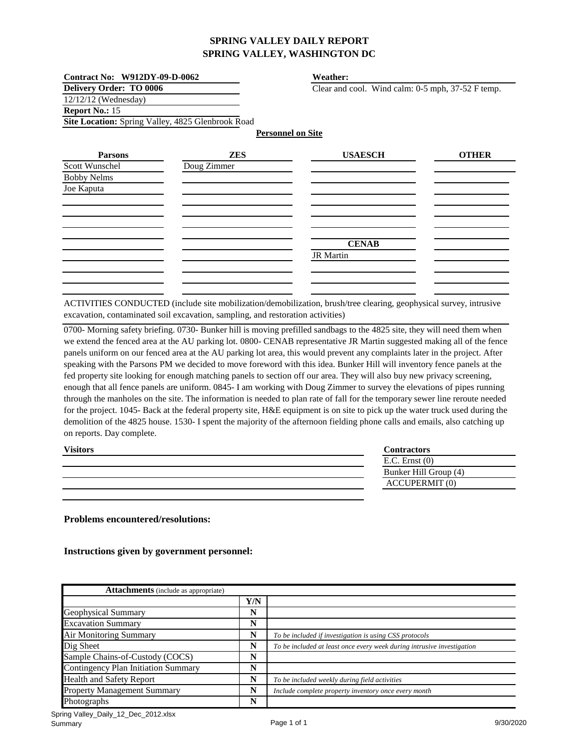| Contract No: W912DY-09-D-0062                     |             | <b>Weather:</b>                                   |              |
|---------------------------------------------------|-------------|---------------------------------------------------|--------------|
| <b>Delivery Order: TO 0006</b>                    |             | Clear and cool. Wind calm: 0-5 mph, 37-52 F temp. |              |
| 12/12/12 (Wednesday)                              |             |                                                   |              |
| Report No.: 15                                    |             |                                                   |              |
| Site Location: Spring Valley, 4825 Glenbrook Road |             |                                                   |              |
|                                                   |             | <b>Personnel on Site</b>                          |              |
| <b>Parsons</b>                                    | <b>ZES</b>  | <b>USAESCH</b>                                    | <b>OTHER</b> |
| Scott Wunschel                                    | Doug Zimmer |                                                   |              |
| <b>Bobby Nelms</b>                                |             |                                                   |              |
| Joe Kaputa                                        |             |                                                   |              |
|                                                   |             |                                                   |              |
|                                                   |             |                                                   |              |
|                                                   |             |                                                   |              |
|                                                   |             |                                                   |              |
|                                                   |             | <b>CENAB</b>                                      |              |
|                                                   |             | <b>JR</b> Martin                                  |              |
|                                                   |             |                                                   |              |
|                                                   |             |                                                   |              |
|                                                   |             |                                                   |              |

ACTIVITIES CONDUCTED (include site mobilization/demobilization, brush/tree clearing, geophysical survey, intrusive excavation, contaminated soil excavation, sampling, and restoration activities)

0700- Morning safety briefing. 0730- Bunker hill is moving prefilled sandbags to the 4825 site, they will need them when we extend the fenced area at the AU parking lot. 0800- CENAB representative JR Martin suggested making all of the fence panels uniform on our fenced area at the AU parking lot area, this would prevent any complaints later in the project. After speaking with the Parsons PM we decided to move foreword with this idea. Bunker Hill will inventory fence panels at the fed property site looking for enough matching panels to section off our area. They will also buy new privacy screening, enough that all fence panels are uniform. 0845- I am working with Doug Zimmer to survey the elevations of pipes running through the manholes on the site. The information is needed to plan rate of fall for the temporary sewer line reroute needed for the project. 1045- Back at the federal property site, H&E equipment is on site to pick up the water truck used during the demolition of the 4825 house. 1530- I spent the majority of the afternoon fielding phone calls and emails, also catching up on reports. Day complete.

| <b>Visitors</b> | <b>Contractors</b>    |
|-----------------|-----------------------|
|                 | $E.C.$ Ernst $(0)$    |
|                 | Bunker Hill Group (4) |
|                 | <b>ACCUPERMIT (0)</b> |

**Problems encountered/resolutions:**

| <b>Attachments</b> (include as appropriate) |     |                                                                        |
|---------------------------------------------|-----|------------------------------------------------------------------------|
|                                             | Y/N |                                                                        |
| Geophysical Summary                         | N   |                                                                        |
| <b>Excavation Summary</b>                   | N   |                                                                        |
| <b>Air Monitoring Summary</b>               | N   | To be included if investigation is using CSS protocols                 |
| Dig Sheet                                   | N   | To be included at least once every week during intrusive investigation |
| Sample Chains-of-Custody (COCS)             | N   |                                                                        |
| <b>Contingency Plan Initiation Summary</b>  | N   |                                                                        |
| <b>Health and Safety Report</b>             | N   | To be included weekly during field activities                          |
| <b>Property Management Summary</b>          | N   | Include complete property inventory once every month                   |
| <b>Photographs</b>                          | N   |                                                                        |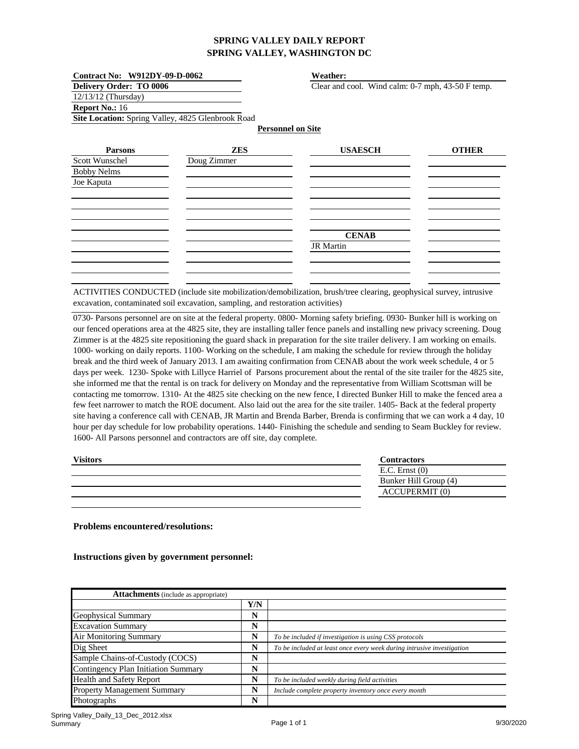| Contract No: W912DY-09-D-0062                     |             | <b>Weather:</b>                                   |              |
|---------------------------------------------------|-------------|---------------------------------------------------|--------------|
| Delivery Order: TO 0006                           |             | Clear and cool. Wind calm: 0-7 mph, 43-50 F temp. |              |
| 12/13/12 (Thursday)                               |             |                                                   |              |
| Report No.: 16                                    |             |                                                   |              |
| Site Location: Spring Valley, 4825 Glenbrook Road |             |                                                   |              |
|                                                   |             | <b>Personnel on Site</b>                          |              |
| <b>Parsons</b>                                    | <b>ZES</b>  | <b>USAESCH</b>                                    | <b>OTHER</b> |
| Scott Wunschel                                    | Doug Zimmer |                                                   |              |
| <b>Bobby Nelms</b>                                |             |                                                   |              |
| Joe Kaputa                                        |             |                                                   |              |
|                                                   |             |                                                   |              |
|                                                   |             |                                                   |              |
|                                                   |             |                                                   |              |
|                                                   |             |                                                   |              |
|                                                   |             | <b>CENAB</b>                                      |              |
|                                                   |             | <b>JR</b> Martin                                  |              |
|                                                   |             |                                                   |              |
|                                                   |             |                                                   |              |
|                                                   |             |                                                   |              |

ACTIVITIES CONDUCTED (include site mobilization/demobilization, brush/tree clearing, geophysical survey, intrusive excavation, contaminated soil excavation, sampling, and restoration activities)

0730- Parsons personnel are on site at the federal property. 0800- Morning safety briefing. 0930- Bunker hill is working on our fenced operations area at the 4825 site, they are installing taller fence panels and installing new privacy screening. Doug Zimmer is at the 4825 site repositioning the guard shack in preparation for the site trailer delivery. I am working on emails. 1000- working on daily reports. 1100- Working on the schedule, I am making the schedule for review through the holiday break and the third week of January 2013. I am awaiting confirmation from CENAB about the work week schedule, 4 or 5 days per week. 1230- Spoke with Lillyce Harriel of Parsons procurement about the rental of the site trailer for the 4825 site, she informed me that the rental is on track for delivery on Monday and the representative from William Scottsman will be contacting me tomorrow. 1310- At the 4825 site checking on the new fence, I directed Bunker Hill to make the fenced area a few feet narrower to match the ROE document. Also laid out the area for the site trailer. 1405- Back at the federal property site having a conference call with CENAB, JR Martin and Brenda Barber, Brenda is confirming that we can work a 4 day, 10 hour per day schedule for low probability operations. 1440- Finishing the schedule and sending to Seam Buckley for review. 1600- All Parsons personnel and contractors are off site, day complete.

| <b>Visitors</b> | Contractors           |
|-----------------|-----------------------|
|                 | $E.C.$ Ernst $(0)$    |
|                 | Bunker Hill Group (4) |
|                 | <b>ACCUPERMIT (0)</b> |
|                 |                       |

**Problems encountered/resolutions:**

| <b>Attachments</b> (include as appropriate) |     |                                                                        |
|---------------------------------------------|-----|------------------------------------------------------------------------|
|                                             | Y/N |                                                                        |
| Geophysical Summary                         | N   |                                                                        |
| <b>Excavation Summary</b>                   | N   |                                                                        |
| <b>Air Monitoring Summary</b>               | N   | To be included if investigation is using CSS protocols                 |
| Dig Sheet                                   | N   | To be included at least once every week during intrusive investigation |
| Sample Chains-of-Custody (COCS)             | N   |                                                                        |
| <b>Contingency Plan Initiation Summary</b>  | N   |                                                                        |
| <b>Health and Safety Report</b>             | N   | To be included weekly during field activities                          |
| <b>Property Management Summary</b>          | N   | Include complete property inventory once every month                   |
| Photographs                                 | N   |                                                                        |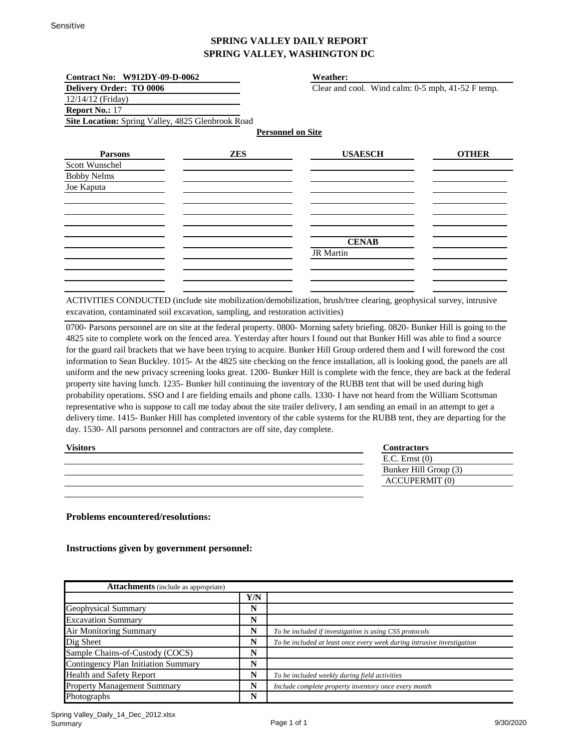| Contract No: W912DY-09-D-0062                     |            | Weather:                                          |              |
|---------------------------------------------------|------------|---------------------------------------------------|--------------|
| Delivery Order: TO 0006                           |            | Clear and cool. Wind calm: 0-5 mph, 41-52 F temp. |              |
| 12/14/12 (Friday)                                 |            |                                                   |              |
| Report No.: 17                                    |            |                                                   |              |
| Site Location: Spring Valley, 4825 Glenbrook Road |            |                                                   |              |
|                                                   |            | <b>Personnel on Site</b>                          |              |
| <b>Parsons</b>                                    | <b>ZES</b> | <b>USAESCH</b>                                    | <b>OTHER</b> |
| Scott Wunschel                                    |            |                                                   |              |
| <b>Bobby Nelms</b>                                |            |                                                   |              |
| Joe Kaputa                                        |            |                                                   |              |
|                                                   |            |                                                   |              |
|                                                   |            |                                                   |              |
|                                                   |            |                                                   |              |
|                                                   |            |                                                   |              |
|                                                   |            | <b>CENAB</b>                                      |              |
|                                                   |            | <b>JR</b> Martin                                  |              |
|                                                   |            |                                                   |              |
|                                                   |            |                                                   |              |
|                                                   |            |                                                   |              |

ACTIVITIES CONDUCTED (include site mobilization/demobilization, brush/tree clearing, geophysical survey, intrusive excavation, contaminated soil excavation, sampling, and restoration activities)

0700- Parsons personnel are on site at the federal property. 0800- Morning safety briefing. 0820- Bunker Hill is going to the 4825 site to complete work on the fenced area. Yesterday after hours I found out that Bunker Hill was able to find a source for the guard rail brackets that we have been trying to acquire. Bunker Hill Group ordered them and I will foreword the cost information to Sean Buckley. 1015- At the 4825 site checking on the fence installation, all is looking good, the panels are all uniform and the new privacy screening looks great. 1200- Bunker Hill is complete with the fence, they are back at the federal property site having lunch. 1235- Bunker hill continuing the inventory of the RUBB tent that will be used during high probability operations. SSO and I are fielding emails and phone calls. 1330- I have not heard from the William Scottsman representative who is suppose to call me today about the site trailer delivery, I am sending an email in an attempt to get a delivery time. 1415- Bunker Hill has completed inventory of the cable systems for the RUBB tent, they are departing for the day. 1530- All parsons personnel and contractors are off site, day complete.

| <b>Visitors</b> | Contractors           |
|-----------------|-----------------------|
|                 | $E.C.$ Ernst $(0)$    |
|                 | Bunker Hill Group (3) |
|                 | <b>ACCUPERMIT (0)</b> |
|                 |                       |

**Problems encountered/resolutions:**

| <b>Attachments</b> (include as appropriate) |     |                                                                        |
|---------------------------------------------|-----|------------------------------------------------------------------------|
|                                             | Y/N |                                                                        |
| Geophysical Summary                         | N   |                                                                        |
| <b>Excavation Summary</b>                   | N   |                                                                        |
| Air Monitoring Summary                      | N   | To be included if investigation is using CSS protocols                 |
| Dig Sheet                                   | N   | To be included at least once every week during intrusive investigation |
| Sample Chains-of-Custody (COCS)             | N   |                                                                        |
| Contingency Plan Initiation Summary         | N   |                                                                        |
| <b>Health and Safety Report</b>             | N   | To be included weekly during field activities                          |
| <b>Property Management Summary</b>          | N   | Include complete property inventory once every month                   |
| Photographs                                 | N   |                                                                        |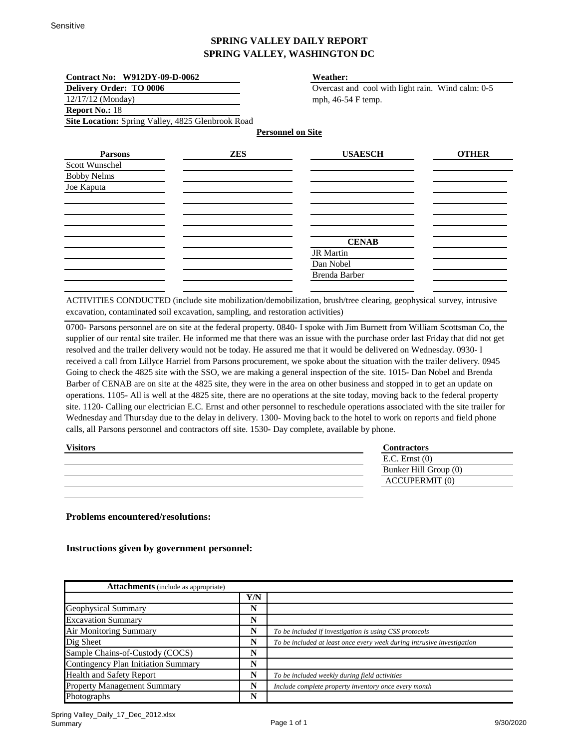| Contract No: W912DY-09-D-0062                     |            | <b>Weather:</b>                                   |              |
|---------------------------------------------------|------------|---------------------------------------------------|--------------|
| <b>Delivery Order: TO 0006</b>                    |            | Overcast and cool with light rain. Wind calm: 0-5 |              |
| $12/17/12$ (Monday)                               |            | mph, 46-54 F temp.                                |              |
| <b>Report No.: 18</b>                             |            |                                                   |              |
| Site Location: Spring Valley, 4825 Glenbrook Road |            |                                                   |              |
|                                                   |            | <b>Personnel on Site</b>                          |              |
| <b>Parsons</b>                                    | <b>ZES</b> | <b>USAESCH</b>                                    | <b>OTHER</b> |
| Scott Wunschel                                    |            |                                                   |              |
| <b>Bobby Nelms</b>                                |            |                                                   |              |
| Joe Kaputa                                        |            |                                                   |              |
|                                                   |            |                                                   |              |
|                                                   |            |                                                   |              |
|                                                   |            |                                                   |              |
|                                                   |            |                                                   |              |
|                                                   |            | <b>CENAB</b>                                      |              |
|                                                   |            | <b>JR</b> Martin                                  |              |
|                                                   |            | Dan Nobel                                         |              |
|                                                   |            | Brenda Barber                                     |              |
|                                                   |            |                                                   |              |

ACTIVITIES CONDUCTED (include site mobilization/demobilization, brush/tree clearing, geophysical survey, intrusive excavation, contaminated soil excavation, sampling, and restoration activities)

0700- Parsons personnel are on site at the federal property. 0840- I spoke with Jim Burnett from William Scottsman Co, the supplier of our rental site trailer. He informed me that there was an issue with the purchase order last Friday that did not get resolved and the trailer delivery would not be today. He assured me that it would be delivered on Wednesday. 0930- I received a call from Lillyce Harriel from Parsons procurement, we spoke about the situation with the trailer delivery. 0945 Going to check the 4825 site with the SSO, we are making a general inspection of the site. 1015- Dan Nobel and Brenda Barber of CENAB are on site at the 4825 site, they were in the area on other business and stopped in to get an update on operations. 1105- All is well at the 4825 site, there are no operations at the site today, moving back to the federal property site. 1120- Calling our electrician E.C. Ernst and other personnel to reschedule operations associated with the site trailer for Wednesday and Thursday due to the delay in delivery. 1300- Moving back to the hotel to work on reports and field phone calls, all Parsons personnel and contractors off site. 1530- Day complete, available by phone.

| <b>Visitors</b> | Contractors           |
|-----------------|-----------------------|
|                 | $E.C.$ Ernst $(0)$    |
|                 | Bunker Hill Group (0) |
|                 | <b>ACCUPERMIT (0)</b> |
|                 |                       |

**Problems encountered/resolutions:**

| <b>Attachments</b> (include as appropriate) |     |                                                                        |
|---------------------------------------------|-----|------------------------------------------------------------------------|
|                                             | Y/N |                                                                        |
| Geophysical Summary                         | N   |                                                                        |
| <b>Excavation Summary</b>                   | N   |                                                                        |
| Air Monitoring Summary                      | N   | To be included if investigation is using CSS protocols                 |
| Dig Sheet                                   | N   | To be included at least once every week during intrusive investigation |
| Sample Chains-of-Custody (COCS)             | N   |                                                                        |
| Contingency Plan Initiation Summary         | N   |                                                                        |
| <b>Health and Safety Report</b>             | N   | To be included weekly during field activities                          |
| <b>Property Management Summary</b>          | N   | Include complete property inventory once every month                   |
| Photographs                                 | N   |                                                                        |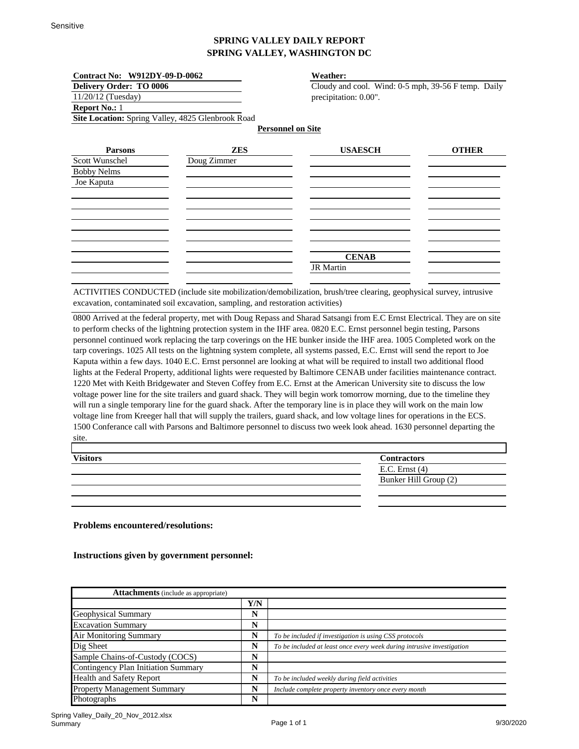| Contract No: W912DY-09-D-0062  |                                                   | <b>Weather:</b>                                     |              |
|--------------------------------|---------------------------------------------------|-----------------------------------------------------|--------------|
| <b>Delivery Order: TO 0006</b> |                                                   | Cloudy and cool. Wind: 0-5 mph, 39-56 F temp. Daily |              |
| $11/20/12$ (Tuesday)           |                                                   | precipitation: 0.00".                               |              |
| <b>Report No.: 1</b>           |                                                   |                                                     |              |
|                                | Site Location: Spring Valley, 4825 Glenbrook Road |                                                     |              |
|                                |                                                   | <b>Personnel on Site</b>                            |              |
| <b>Parsons</b>                 | <b>ZES</b>                                        | <b>USAESCH</b>                                      | <b>OTHER</b> |
| Scott Wunschel                 | Doug Zimmer                                       |                                                     |              |
| <b>Bobby Nelms</b>             |                                                   |                                                     |              |
| Joe Kaputa                     |                                                   |                                                     |              |
|                                |                                                   |                                                     |              |
|                                |                                                   |                                                     |              |
|                                |                                                   |                                                     |              |
|                                |                                                   |                                                     |              |
|                                |                                                   |                                                     |              |
|                                |                                                   |                                                     |              |
|                                |                                                   | <b>CENAB</b>                                        |              |
|                                |                                                   | <b>JR</b> Martin                                    |              |

ACTIVITIES CONDUCTED (include site mobilization/demobilization, brush/tree clearing, geophysical survey, intrusive excavation, contaminated soil excavation, sampling, and restoration activities)

0800 Arrived at the federal property, met with Doug Repass and Sharad Satsangi from E.C Ernst Electrical. They are on site to perform checks of the lightning protection system in the IHF area. 0820 E.C. Ernst personnel begin testing, Parsons personnel continued work replacing the tarp coverings on the HE bunker inside the IHF area. 1005 Completed work on the tarp coverings. 1025 All tests on the lightning system complete, all systems passed, E.C. Ernst will send the report to Joe Kaputa within a few days. 1040 E.C. Ernst personnel are looking at what will be required to install two additional flood lights at the Federal Property, additional lights were requested by Baltimore CENAB under facilities maintenance contract. 1220 Met with Keith Bridgewater and Steven Coffey from E.C. Ernst at the American University site to discuss the low voltage power line for the site trailers and guard shack. They will begin work tomorrow morning, due to the timeline they will run a single temporary line for the guard shack. After the temporary line is in place they will work on the main low voltage line from Kreeger hall that will supply the trailers, guard shack, and low voltage lines for operations in the ECS. 1500 Conferance call with Parsons and Baltimore personnel to discuss two week look ahead. 1630 personnel departing the site.

| <b>Visitors</b> | <b>Contractors</b>    |
|-----------------|-----------------------|
|                 | E.C. Ernst $(4)$      |
|                 | Bunker Hill Group (2) |
|                 |                       |

**Problems encountered/resolutions:**

| <b>Attachments</b> (include as appropriate) |     |                                                                        |
|---------------------------------------------|-----|------------------------------------------------------------------------|
|                                             | Y/N |                                                                        |
| <b>Geophysical Summary</b>                  | N   |                                                                        |
| <b>Excavation Summary</b>                   | N   |                                                                        |
| <b>Air Monitoring Summary</b>               | N   | To be included if investigation is using CSS protocols                 |
| Dig Sheet                                   | N   | To be included at least once every week during intrusive investigation |
| Sample Chains-of-Custody (COCS)             | N   |                                                                        |
| <b>Contingency Plan Initiation Summary</b>  | N   |                                                                        |
| <b>Health and Safety Report</b>             | N   | To be included weekly during field activities                          |
| <b>Property Management Summary</b>          | N   | Include complete property inventory once every month                   |
| Photographs                                 | N   |                                                                        |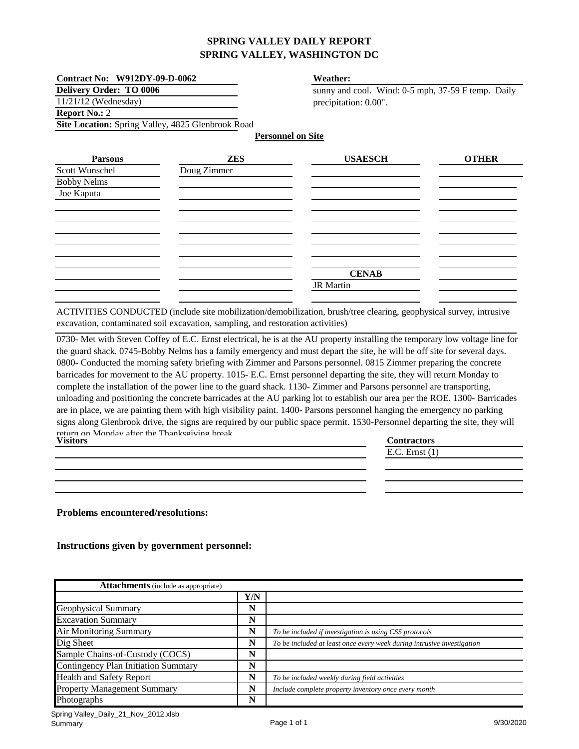| <b>Contract No: W912DY-09-D-0062</b>              | Weather:                                           |
|---------------------------------------------------|----------------------------------------------------|
| <b>Delivery Order: TO 0006</b>                    | sunny and cool. Wind: 0-5 mph, 37-59 F temp. Daily |
| $11/21/12$ (Wednesday)                            | precipitation: 0.00".                              |
| <b>Report No.: 2</b>                              |                                                    |
| Site Location: Spring Valley, 4825 Glenbrook Road |                                                    |
|                                                   | <b>Personnel on Site</b>                           |

| <b>Parsons</b>                   | <b>ZES</b>  | <b>USAESCH</b> | <b>OTHER</b> |
|----------------------------------|-------------|----------------|--------------|
| Scott Wunschel                   | Doug Zimmer |                |              |
| <b>Bobby Nelms</b><br>Joe Kaputa |             |                |              |
|                                  |             |                |              |
|                                  |             |                |              |
|                                  |             |                |              |
|                                  |             |                |              |
|                                  |             |                |              |
|                                  |             |                |              |
|                                  |             |                |              |
|                                  |             | <b>CENAB</b>   |              |
|                                  |             | JR Martin      |              |
|                                  |             |                |              |

ACTIVITIES CONDUCTED (include site mobilization/demobilization, brush/tree clearing, geophysical survey, intrusive excavation, contaminated soil excavation, sampling, and restoration activities)

**Contractors** 0730- Met with Steven Coffey of E.C. Ernst electrical, he is at the AU property installing the temporary low voltage line for the guard shack. 0745-Bobby Nelms has a family emergency and must depart the site, he will be off site for several days. 0800- Conducted the morning safety briefing with Zimmer and Parsons personnel. 0815 Zimmer preparing the concrete barricades for movement to the AU property. 1015- E.C. Ernst personnel departing the site, they will return Monday to complete the installation of the power line to the guard shack. 1130- Zimmer and Parsons personnel are transporting, unloading and positioning the concrete barricades at the AU parking lot to establish our area per the ROE. 1300- Barricades are in place, we are painting them with high visibility paint. 1400- Parsons personnel hanging the emergency no parking signs along Glenbrook drive, the signs are required by our public space permit. 1530-Personnel departing the site, they will return on Monday after the Thanksgiving break. **Visitors**

| <b>V LOILUL D</b> | <b>Commactors</b>  |
|-------------------|--------------------|
|                   | $E.C.$ Ernst $(1)$ |
|                   |                    |
|                   |                    |
|                   |                    |

**Problems encountered/resolutions:**

| <b>Attachments</b> (include as appropriate) |     |                                                                        |  |
|---------------------------------------------|-----|------------------------------------------------------------------------|--|
|                                             | Y/N |                                                                        |  |
| Geophysical Summary                         | N   |                                                                        |  |
| <b>Excavation Summary</b>                   | N   |                                                                        |  |
| <b>Air Monitoring Summary</b>               | N   | To be included if investigation is using CSS protocols                 |  |
| Dig Sheet                                   | N   | To be included at least once every week during intrusive investigation |  |
| Sample Chains-of-Custody (COCS)             | N   |                                                                        |  |
| Contingency Plan Initiation Summary         | N   |                                                                        |  |
| <b>Health and Safety Report</b>             | N   | To be included weekly during field activities                          |  |
| <b>Property Management Summary</b>          | N   | Include complete property inventory once every month                   |  |
| Photographs                                 | N   |                                                                        |  |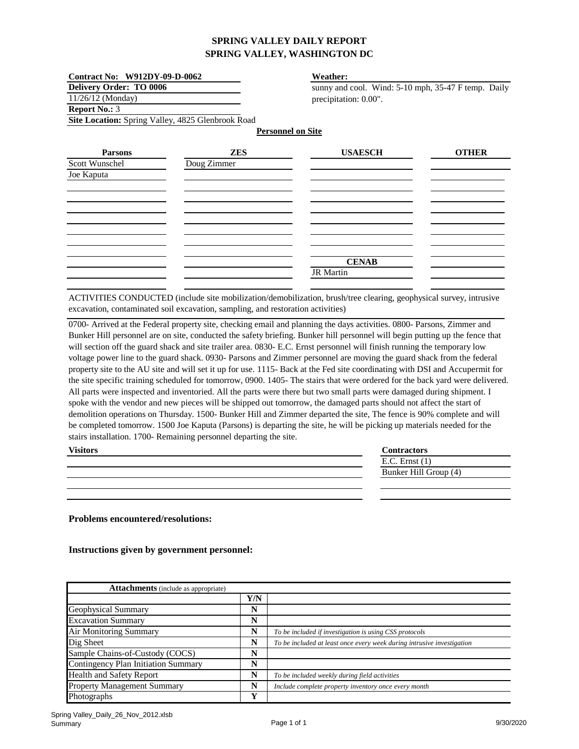| Contract No: W912DY-09-D-0062                     |             | <b>Weather:</b>                                     |              |
|---------------------------------------------------|-------------|-----------------------------------------------------|--------------|
| <b>Delivery Order: TO 0006</b>                    |             | sunny and cool. Wind: 5-10 mph, 35-47 F temp. Daily |              |
| $11/26/12$ (Monday)                               |             | precipitation: 0.00".                               |              |
| <b>Report No.: 3</b>                              |             |                                                     |              |
| Site Location: Spring Valley, 4825 Glenbrook Road |             |                                                     |              |
|                                                   |             | <b>Personnel on Site</b>                            |              |
| <b>Parsons</b>                                    | <b>ZES</b>  | <b>USAESCH</b>                                      | <b>OTHER</b> |
| Scott Wunschel                                    | Doug Zimmer |                                                     |              |
| Joe Kaputa                                        |             |                                                     |              |
|                                                   |             |                                                     |              |
|                                                   |             |                                                     |              |
|                                                   |             |                                                     |              |
|                                                   |             |                                                     |              |
|                                                   |             |                                                     |              |
|                                                   |             |                                                     |              |
|                                                   |             | <b>CENAB</b>                                        |              |
|                                                   |             | <b>JR</b> Martin                                    |              |
|                                                   |             |                                                     |              |

ACTIVITIES CONDUCTED (include site mobilization/demobilization, brush/tree clearing, geophysical survey, intrusive excavation, contaminated soil excavation, sampling, and restoration activities)

0700- Arrived at the Federal property site, checking email and planning the days activities. 0800- Parsons, Zimmer and Bunker Hill personnel are on site, conducted the safety briefing. Bunker hill personnel will begin putting up the fence that will section off the guard shack and site trailer area. 0830- E.C. Ernst personnel will finish running the temporary low voltage power line to the guard shack. 0930- Parsons and Zimmer personnel are moving the guard shack from the federal property site to the AU site and will set it up for use. 1115- Back at the Fed site coordinating with DSI and Accupermit for the site specific training scheduled for tomorrow, 0900. 1405- The stairs that were ordered for the back yard were delivered. All parts were inspected and inventoried. All the parts were there but two small parts were damaged during shipment. I spoke with the vendor and new pieces will be shipped out tomorrow, the damaged parts should not affect the start of demolition operations on Thursday. 1500- Bunker Hill and Zimmer departed the site, The fence is 90% complete and will be completed tomorrow. 1500 Joe Kaputa (Parsons) is departing the site, he will be picking up materials needed for the stairs installation. 1700- Remaining personnel departing the site.

| <b>Visitors</b> | Contractors           |
|-----------------|-----------------------|
|                 | E.C. Ernst $(1)$      |
|                 | Bunker Hill Group (4) |
|                 |                       |
|                 |                       |

**Problems encountered/resolutions:**

| <b>Attachments</b> (include as appropriate) |     |                                                                        |
|---------------------------------------------|-----|------------------------------------------------------------------------|
|                                             | Y/N |                                                                        |
| Geophysical Summary                         | N   |                                                                        |
| <b>Excavation Summary</b>                   | N   |                                                                        |
| Air Monitoring Summary                      | N   | To be included if investigation is using CSS protocols                 |
| Dig Sheet                                   | N   | To be included at least once every week during intrusive investigation |
| Sample Chains-of-Custody (COCS)             | N   |                                                                        |
| Contingency Plan Initiation Summary         | N   |                                                                        |
| <b>Health and Safety Report</b>             | N   | To be included weekly during field activities                          |
| <b>Property Management Summary</b>          | N   | Include complete property inventory once every month                   |
| <b>Photographs</b>                          | Y   |                                                                        |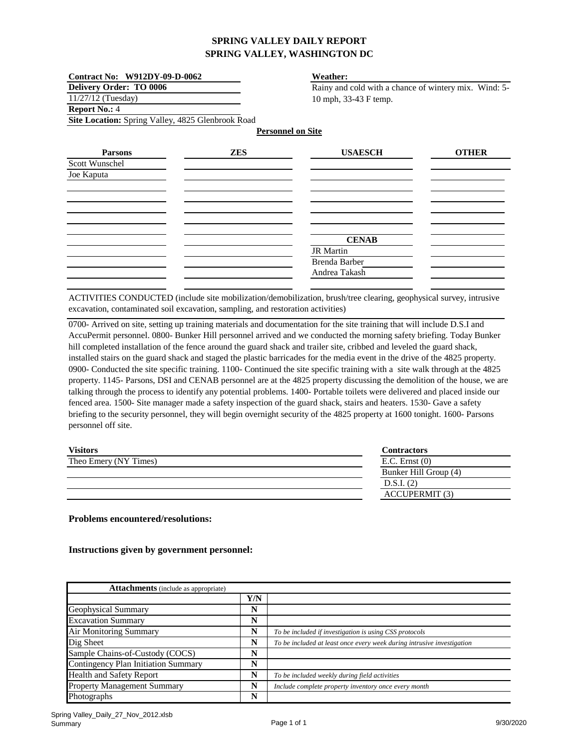| <b>Contract No: W912DY-09-D-0062</b>              |            | Weather:                                              |              |  |
|---------------------------------------------------|------------|-------------------------------------------------------|--------------|--|
| <b>Delivery Order: TO 0006</b>                    |            | Rainy and cold with a chance of wintery mix. Wind: 5- |              |  |
| 11/27/12 (Tuesday)                                |            | 10 mph, 33-43 F temp.                                 |              |  |
| <b>Report No.: 4</b>                              |            |                                                       |              |  |
| Site Location: Spring Valley, 4825 Glenbrook Road |            |                                                       |              |  |
|                                                   |            | <b>Personnel on Site</b>                              |              |  |
| <b>Parsons</b>                                    | <b>ZES</b> | <b>USAESCH</b>                                        | <b>OTHER</b> |  |
| Scott Wunschel                                    |            |                                                       |              |  |
| Joe Kaputa                                        |            |                                                       |              |  |
|                                                   |            |                                                       |              |  |
|                                                   |            |                                                       |              |  |
|                                                   |            |                                                       |              |  |
|                                                   |            |                                                       |              |  |
|                                                   |            | <b>CENAB</b>                                          |              |  |
|                                                   |            | <b>JR</b> Martin                                      |              |  |
|                                                   |            | Brenda Barber                                         |              |  |
|                                                   |            | Andrea Takash                                         |              |  |
|                                                   |            |                                                       |              |  |

ACTIVITIES CONDUCTED (include site mobilization/demobilization, brush/tree clearing, geophysical survey, intrusive excavation, contaminated soil excavation, sampling, and restoration activities)

0700- Arrived on site, setting up training materials and documentation for the site training that will include D.S.I and AccuPermit personnel. 0800- Bunker Hill personnel arrived and we conducted the morning safety briefing. Today Bunker hill completed installation of the fence around the guard shack and trailer site, cribbed and leveled the guard shack, installed stairs on the guard shack and staged the plastic barricades for the media event in the drive of the 4825 property. 0900- Conducted the site specific training. 1100- Continued the site specific training with a site walk through at the 4825 property. 1145- Parsons, DSI and CENAB personnel are at the 4825 property discussing the demolition of the house, we are talking through the process to identify any potential problems. 1400- Portable toilets were delivered and placed inside our fenced area. 1500- Site manager made a safety inspection of the guard shack, stairs and heaters. 1530- Gave a safety briefing to the security personnel, they will begin overnight security of the 4825 property at 1600 tonight. 1600- Parsons personnel off site.

| <b>Visitors</b>       | <b>Contractors</b>    |
|-----------------------|-----------------------|
| Theo Emery (NY Times) | $E.C.$ Ernst $(0)$    |
|                       | Bunker Hill Group (4) |
|                       | D.S.I. (2)            |
|                       | <b>ACCUPERMIT (3)</b> |

**Problems encountered/resolutions:**

| <b>Attachments</b> (include as appropriate) |     |                                                                        |  |
|---------------------------------------------|-----|------------------------------------------------------------------------|--|
|                                             | Y/N |                                                                        |  |
| <b>Geophysical Summary</b>                  | N   |                                                                        |  |
| <b>Excavation Summary</b>                   | N   |                                                                        |  |
| Air Monitoring Summary                      | N   | To be included if investigation is using CSS protocols                 |  |
| Dig Sheet                                   | N   | To be included at least once every week during intrusive investigation |  |
| Sample Chains-of-Custody (COCS)             | N   |                                                                        |  |
| Contingency Plan Initiation Summary         | N   |                                                                        |  |
| <b>Health and Safety Report</b>             | N   | To be included weekly during field activities                          |  |
| <b>Property Management Summary</b>          | N   | Include complete property inventory once every month                   |  |
| Photographs                                 | N   |                                                                        |  |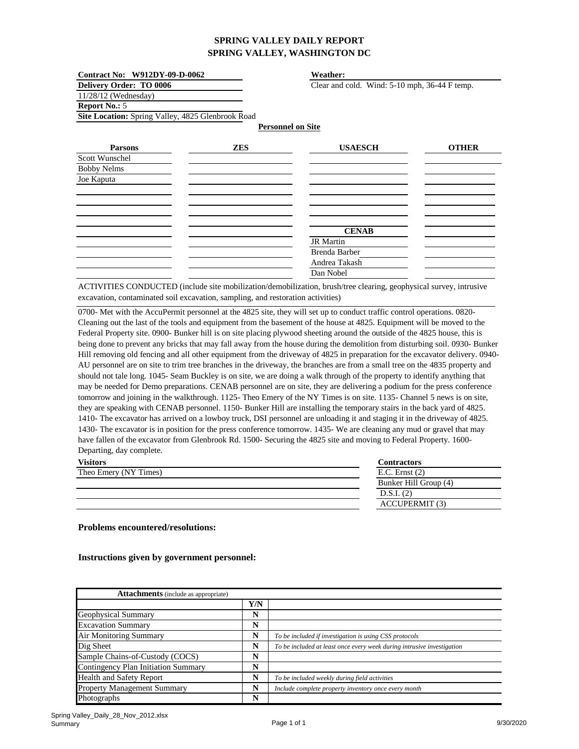| Contract No: W912DY-09-D-0062                     |            | <b>Weather:</b>          |                                               |  |
|---------------------------------------------------|------------|--------------------------|-----------------------------------------------|--|
| <b>Delivery Order: TO 0006</b>                    |            |                          | Clear and cold. Wind: 5-10 mph, 36-44 F temp. |  |
| 11/28/12 (Wednesday)                              |            |                          |                                               |  |
| Report No.: 5                                     |            |                          |                                               |  |
| Site Location: Spring Valley, 4825 Glenbrook Road |            |                          |                                               |  |
|                                                   |            | <b>Personnel on Site</b> |                                               |  |
| <b>Parsons</b>                                    | <b>ZES</b> | <b>USAESCH</b>           | <b>OTHER</b>                                  |  |
| Scott Wunschel                                    |            |                          |                                               |  |
| <b>Bobby Nelms</b>                                |            |                          |                                               |  |
| Joe Kaputa                                        |            |                          |                                               |  |
|                                                   |            |                          |                                               |  |
|                                                   |            |                          |                                               |  |
|                                                   |            |                          |                                               |  |
|                                                   |            |                          |                                               |  |
|                                                   |            | <b>CENAB</b>             |                                               |  |
|                                                   |            | <b>JR</b> Martin         |                                               |  |
|                                                   |            | Brenda Barber            |                                               |  |
|                                                   |            | Andrea Takash            |                                               |  |
|                                                   |            | Dan Nobel                |                                               |  |

ACTIVITIES CONDUCTED (include site mobilization/demobilization, brush/tree clearing, geophysical survey, intrusive excavation, contaminated soil excavation, sampling, and restoration activities)

0700- Met with the AccuPermit personnel at the 4825 site, they will set up to conduct traffic control operations. 0820-Cleaning out the last of the tools and equipment from the basement of the house at 4825. Equipment will be moved to the Federal Property site. 0900- Bunker hill is on site placing plywood sheeting around the outside of the 4825 house, this is being done to prevent any bricks that may fall away from the house during the demolition from disturbing soil. 0930- Bunker Hill removing old fencing and all other equipment from the driveway of 4825 in preparation for the excavator delivery. 0940- AU personnel are on site to trim tree branches in the driveway, the branches are from a small tree on the 4835 property and should not tale long. 1045- Seam Buckley is on site, we are doing a walk through of the property to identify anything that may be needed for Demo preparations. CENAB personnel are on site, they are delivering a podium for the press conference tomorrow and joining in the walkthrough. 1125- Theo Emery of the NY Times is on site. 1135- Channel 5 news is on site, they are speaking with CENAB personnel. 1150- Bunker Hill are installing the temporary stairs in the back yard of 4825. 1410- The excavator has arrived on a lowboy truck, DSI personnel are unloading it and staging it in the driveway of 4825. 1430- The excavator is in position for the press conference tomorrow. 1435- We are cleaning any mud or gravel that may have fallen of the excavator from Glenbrook Rd. 1500- Securing the 4825 site and moving to Federal Property. 1600- Departing, day complete.

| <b>Contractors</b>    |
|-----------------------|
| E.C. Ernst $(2)$      |
| Bunker Hill Group (4) |
| D.S.I. (2)            |
| <b>ACCUPERMIT (3)</b> |
|                       |

#### **Problems encountered/resolutions:**

| <b>Attachments</b> (include as appropriate) |     |                                                                        |
|---------------------------------------------|-----|------------------------------------------------------------------------|
|                                             | Y/N |                                                                        |
| Geophysical Summary                         | N   |                                                                        |
| <b>Excavation Summary</b>                   | N   |                                                                        |
| <b>Air Monitoring Summary</b>               | N   | To be included if investigation is using CSS protocols                 |
| Dig Sheet                                   | N   | To be included at least once every week during intrusive investigation |
| Sample Chains-of-Custody (COCS)             | N   |                                                                        |
| <b>Contingency Plan Initiation Summary</b>  | N   |                                                                        |
| <b>Health and Safety Report</b>             | N   | To be included weekly during field activities                          |
| <b>Property Management Summary</b>          | N   | Include complete property inventory once every month                   |
| Photographs                                 | N   |                                                                        |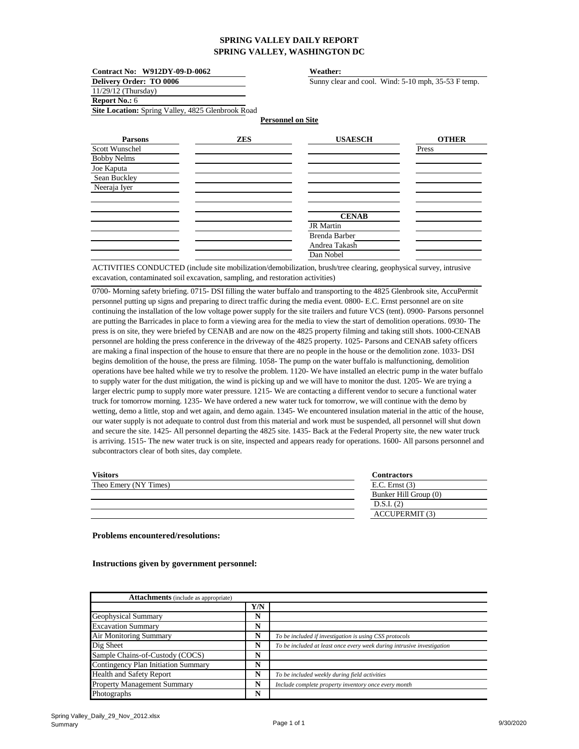| Contract No: W912DY-09-D-0062                     |            | Weather:                                            |              |
|---------------------------------------------------|------------|-----------------------------------------------------|--------------|
| <b>Delivery Order: TO 0006</b>                    |            | Sunny clear and cool. Wind: 5-10 mph, 35-53 F temp. |              |
| 11/29/12 (Thursday)                               |            |                                                     |              |
| <b>Report No.: 6</b>                              |            |                                                     |              |
| Site Location: Spring Valley, 4825 Glenbrook Road |            |                                                     |              |
|                                                   |            | <b>Personnel on Site</b>                            |              |
| <b>Parsons</b>                                    | <b>ZES</b> | <b>USAESCH</b>                                      | <b>OTHER</b> |
| Scott Wunschel                                    |            |                                                     | Press        |
| <b>Bobby Nelms</b>                                |            |                                                     |              |
| Joe Kaputa                                        |            |                                                     |              |
| Sean Buckley                                      |            |                                                     |              |
| Neeraja Iyer                                      |            |                                                     |              |
|                                                   |            |                                                     |              |
|                                                   |            |                                                     |              |
|                                                   |            | <b>CENAB</b>                                        |              |
|                                                   |            | <b>JR</b> Martin                                    |              |
|                                                   |            | Brenda Barber                                       |              |
|                                                   |            | Andrea Takash                                       |              |
|                                                   |            | Dan Nobel                                           |              |
|                                                   |            |                                                     |              |

ACTIVITIES CONDUCTED (include site mobilization/demobilization, brush/tree clearing, geophysical survey, intrusive excavation, contaminated soil excavation, sampling, and restoration activities)

0700- Morning safety briefing. 0715- DSI filling the water buffalo and transporting to the 4825 Glenbrook site, AccuPermit personnel putting up signs and preparing to direct traffic during the media event. 0800- E.C. Ernst personnel are on site continuing the installation of the low voltage power supply for the site trailers and future VCS (tent). 0900- Parsons personnel are putting the Barricades in place to form a viewing area for the media to view the start of demolition operations. 0930- The press is on site, they were briefed by CENAB and are now on the 4825 property filming and taking still shots. 1000-CENAB personnel are holding the press conference in the driveway of the 4825 property. 1025- Parsons and CENAB safety officers are making a final inspection of the house to ensure that there are no people in the house or the demolition zone. 1033- DSI begins demolition of the house, the press are filming. 1058- The pump on the water buffalo is malfunctioning, demolition operations have bee halted while we try to resolve the problem. 1120- We have installed an electric pump in the water buffalo to supply water for the dust mitigation, the wind is picking up and we will have to monitor the dust. 1205- We are trying a larger electric pump to supply more water pressure. 1215- We are contacting a different vendor to secure a functional water truck for tomorrow morning. 1235- We have ordered a new water tuck for tomorrow, we will continue with the demo by wetting, demo a little, stop and wet again, and demo again. 1345- We encountered insulation material in the attic of the house, our water supply is not adequate to control dust from this material and work must be suspended, all personnel will shut down and secure the site. 1425- All personnel departing the 4825 site. 1435- Back at the Federal Property site, the new water truck is arriving. 1515- The new water truck is on site, inspected and appears ready for operations. 1600- All parsons personnel and subcontractors clear of both sites, day complete.

| <b>Visitors</b>       | <b>Contractors</b>    |
|-----------------------|-----------------------|
| Theo Emery (NY Times) | $E.C.$ Ernst $(3)$    |
|                       | Bunker Hill Group (0) |
|                       | D.S.I. (2)            |
|                       | <b>ACCUPERMIT (3)</b> |

#### **Problems encountered/resolutions:**

| <b>Attachments</b> (include as appropriate) |     |                                                                        |
|---------------------------------------------|-----|------------------------------------------------------------------------|
|                                             | Y/N |                                                                        |
| Geophysical Summary                         | N   |                                                                        |
| <b>Excavation Summary</b>                   | N   |                                                                        |
| Air Monitoring Summary                      | N   | To be included if investigation is using CSS protocols                 |
| Dig Sheet                                   | N   | To be included at least once every week during intrusive investigation |
| Sample Chains-of-Custody (COCS)             | N   |                                                                        |
| Contingency Plan Initiation Summary         | N   |                                                                        |
| <b>Health and Safety Report</b>             | N   | To be included weekly during field activities                          |
| <b>Property Management Summary</b>          | N   | Include complete property inventory once every month                   |
| Photographs                                 | N   |                                                                        |